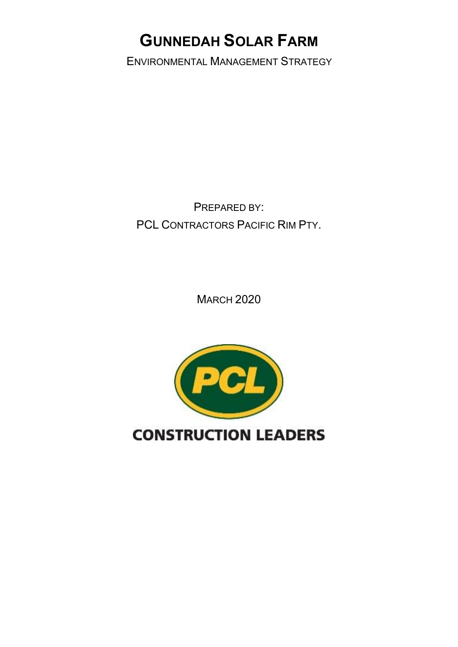## **GUNNEDAH SOLAR FARM**

ENVIRONMENTAL MANAGEMENT STRATEGY

PREPARED BY: PCL CONTRACTORS PACIFIC RIM PTY.

**MARCH 2020** 

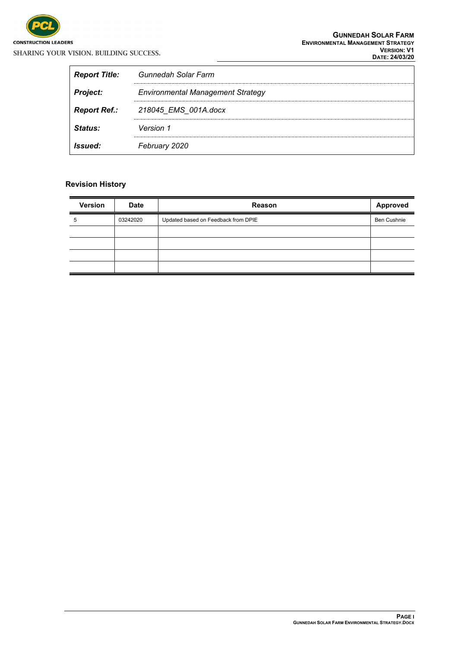

| <b>Report Title:</b> | Gunnedah Solar Farm                      |
|----------------------|------------------------------------------|
| <b>Project:</b>      | <b>Environmental Management Strategy</b> |
| <b>Report Ref.:</b>  | 218045 EMS 001A.docx                     |
| <i>Status:</i>       | Version 1                                |
| <i>Issued:</i>       | February 2020                            |

#### **Revision History**

| <b>Version</b> | <b>Date</b> | Reason                              | Approved           |
|----------------|-------------|-------------------------------------|--------------------|
| 5              | 03242020    | Updated based on Feedback from DPIE | <b>Ben Cushnie</b> |
|                |             |                                     |                    |
|                |             |                                     |                    |
|                |             |                                     |                    |
|                |             |                                     |                    |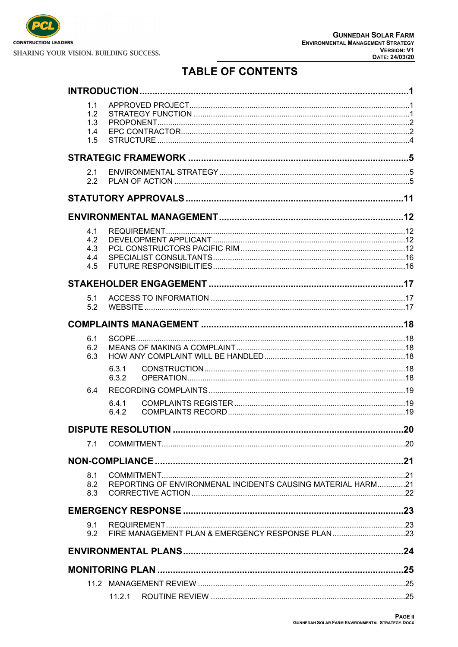

## **TABLE OF CONTENTS**

|  | 1.1        |                                                             |    |
|--|------------|-------------------------------------------------------------|----|
|  | 1.2        |                                                             |    |
|  | 1.3<br>1.4 |                                                             |    |
|  | 1.5        |                                                             |    |
|  |            |                                                             |    |
|  |            |                                                             |    |
|  | 2.1        |                                                             |    |
|  | 2.2        |                                                             |    |
|  |            |                                                             |    |
|  |            |                                                             |    |
|  | 4.1        |                                                             |    |
|  | 4.2        |                                                             |    |
|  | 4.3<br>4.4 |                                                             |    |
|  | 4.5        |                                                             |    |
|  |            |                                                             |    |
|  |            |                                                             |    |
|  | 5.1        |                                                             |    |
|  | 5.2        |                                                             |    |
|  |            |                                                             |    |
|  | 6.1        |                                                             |    |
|  | 6.2        |                                                             |    |
|  | 6.3        |                                                             |    |
|  |            | 6.3.1<br>6.3.2                                              |    |
|  | 6.4        |                                                             |    |
|  |            | 6.4.1                                                       |    |
|  |            | 6.4.2                                                       |    |
|  |            | <b>DISPUTE RESOLUTION</b>                                   | 20 |
|  |            |                                                             |    |
|  |            |                                                             |    |
|  | 8.1        |                                                             |    |
|  | 8.2        | REPORTING OF ENVIRONMENAL INCIDENTS CAUSING MATERIAL HARM21 |    |
|  | 8.3        |                                                             |    |
|  |            |                                                             |    |
|  | 9.1<br>9.2 |                                                             |    |
|  |            |                                                             |    |
|  |            |                                                             |    |
|  |            |                                                             |    |
|  |            |                                                             |    |
|  |            |                                                             |    |
|  |            |                                                             |    |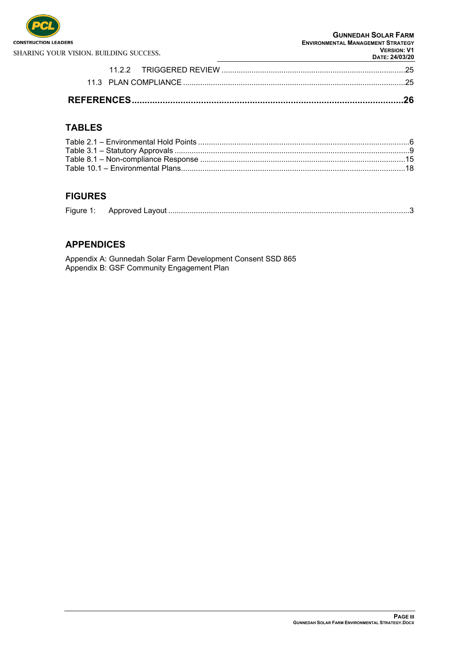

| <b>DAIL Z4/U3/ZU</b> |  |
|----------------------|--|
|                      |  |
|                      |  |
|                      |  |

#### **TABLES**

#### **FIGURES**

|--|

#### **APPENDICES**

Appendix A: Gunnedah Solar Farm Development Consent SSD 865 Appendix B: GSF Community Engagement Plan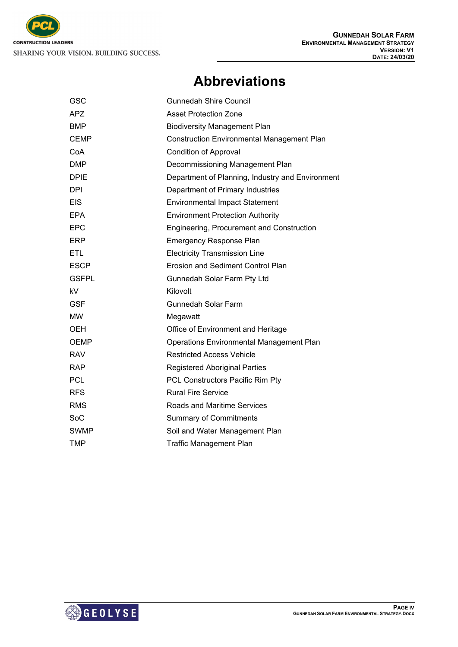

## **Abbreviations**

| GSC          | <b>Gunnedah Shire Council</b>                     |
|--------------|---------------------------------------------------|
| <b>APZ</b>   | <b>Asset Protection Zone</b>                      |
| <b>BMP</b>   | <b>Biodiversity Management Plan</b>               |
| <b>CEMP</b>  | <b>Construction Environmental Management Plan</b> |
| CoA          | Condition of Approval                             |
| <b>DMP</b>   | Decommissioning Management Plan                   |
| <b>DPIE</b>  | Department of Planning, Industry and Environment  |
| <b>DPI</b>   | Department of Primary Industries                  |
| <b>EIS</b>   | <b>Environmental Impact Statement</b>             |
| <b>EPA</b>   | <b>Environment Protection Authority</b>           |
| <b>EPC</b>   | Engineering, Procurement and Construction         |
| <b>ERP</b>   | <b>Emergency Response Plan</b>                    |
| <b>ETL</b>   | <b>Electricity Transmission Line</b>              |
| <b>ESCP</b>  | <b>Erosion and Sediment Control Plan</b>          |
| <b>GSFPL</b> | Gunnedah Solar Farm Pty Ltd                       |
| kV           | Kilovolt                                          |
| <b>GSF</b>   | <b>Gunnedah Solar Farm</b>                        |
| МW           | Megawatt                                          |
| OEH          | Office of Environment and Heritage                |
| <b>OEMP</b>  | <b>Operations Environmental Management Plan</b>   |
| RAV          | <b>Restricted Access Vehicle</b>                  |
| <b>RAP</b>   | <b>Registered Aboriginal Parties</b>              |
| <b>PCL</b>   | PCL Constructors Pacific Rim Pty                  |
| <b>RFS</b>   | <b>Rural Fire Service</b>                         |
| <b>RMS</b>   | <b>Roads and Maritime Services</b>                |
| SoC          | <b>Summary of Commitments</b>                     |
| <b>SWMP</b>  | Soil and Water Management Plan                    |
| TMP          | <b>Traffic Management Plan</b>                    |

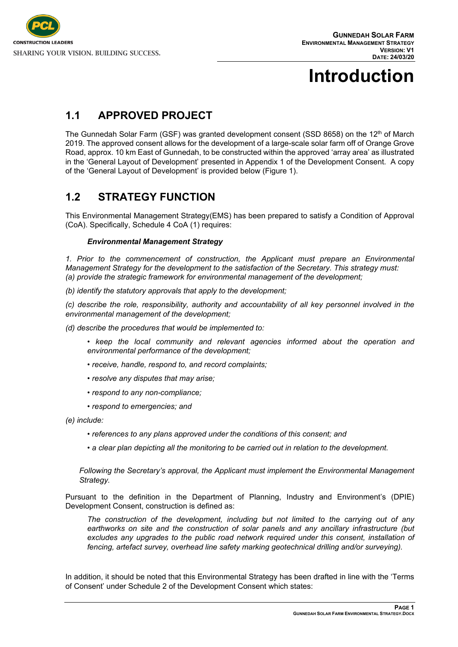

# <span id="page-5-0"></span>**Introduction**

## <span id="page-5-1"></span>**1.1 APPROVED PROJECT**

The Gunnedah Solar Farm (GSF) was granted development consent (SSD 8658) on the 12<sup>th</sup> of March 2019. The approved consent allows for the development of a large-scale solar farm off of Orange Grove Road, approx. 10 km East of Gunnedah, to be constructed within the approved 'array area' as illustrated in the 'General Layout of Development' presented in Appendix 1 of the Development Consent. A copy of the 'General Layout of Development' is provided below (Figure 1).

### <span id="page-5-2"></span>**1.2 STRATEGY FUNCTION**

This Environmental Management Strategy(EMS) has been prepared to satisfy a Condition of Approval (CoA). Specifically, Schedule 4 CoA (1) requires:

#### *Environmental Management Strategy*

*1. Prior to the commencement of construction, the Applicant must prepare an Environmental Management Strategy for the development to the satisfaction of the Secretary. This strategy must: (a) provide the strategic framework for environmental management of the development;*

*(b) identify the statutory approvals that apply to the development;*

*(c) describe the role, responsibility, authority and accountability of all key personnel involved in the environmental management of the development;*

*(d) describe the procedures that would be implemented to:*

- **•** keep the local community and relevant agencies informed about the operation and *environmental performance of the development;*
- *receive, handle, respond to, and record complaints;*
- *resolve any disputes that may arise;*
- *respond to any non-compliance;*
- *respond to emergencies; and*

*(e) include:*

- *references to any plans approved under the conditions of this consent; and*
- *a clear plan depicting all the monitoring to be carried out in relation to the development.*

*Following the Secretary's approval, the Applicant must implement the Environmental Management Strategy.*

Pursuant to the definition in the Department of Planning, Industry and Environment's (DPIE) Development Consent, construction is defined as:

*The construction of the development, including but not limited to the carrying out of any earthworks on site and the construction of solar panels and any ancillary infrastructure (but*  excludes any upgrades to the public road network required under this consent, installation of *fencing, artefact survey, overhead line safety marking geotechnical drilling and/or surveying).*

In addition, it should be noted that this Environmental Strategy has been drafted in line with the 'Terms of Consent' under Schedule 2 of the Development Consent which states: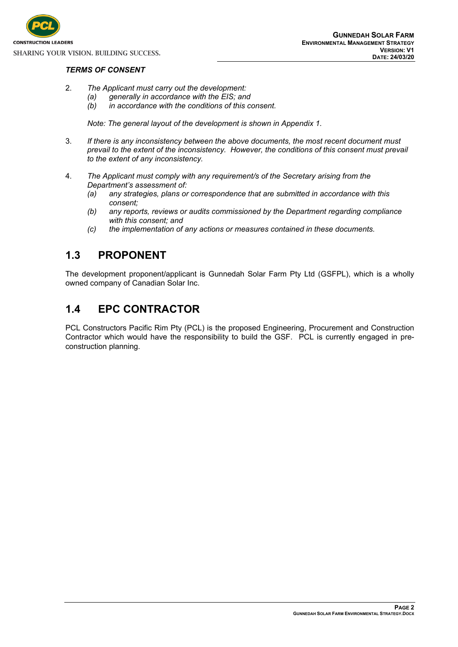

#### *TERMS OF CONSENT*

- 2. *The Applicant must carry out the development:*
	- *(a) generally in accordance with the EIS; and*
		- *(b) in accordance with the conditions of this consent.*

*Note: The general layout of the development is shown in Appendix 1.*

- 3. *If there is any inconsistency between the above documents, the most recent document must prevail to the extent of the inconsistency. However, the conditions of this consent must prevail to the extent of any inconsistency.*
- 4. *The Applicant must comply with any requirement/s of the Secretary arising from the Department's assessment of:*
	- *(a) any strategies, plans or correspondence that are submitted in accordance with this consent;*
	- *(b) any reports, reviews or audits commissioned by the Department regarding compliance with this consent; and*
	- *(c) the implementation of any actions or measures contained in these documents.*

#### <span id="page-6-0"></span>**1.3 PROPONENT**

The development proponent/applicant is Gunnedah Solar Farm Pty Ltd (GSFPL), which is a wholly owned company of Canadian Solar Inc.

#### <span id="page-6-1"></span>**1.4 EPC CONTRACTOR**

PCL Constructors Pacific Rim Pty (PCL) is the proposed Engineering, Procurement and Construction Contractor which would have the responsibility to build the GSF. PCL is currently engaged in preconstruction planning.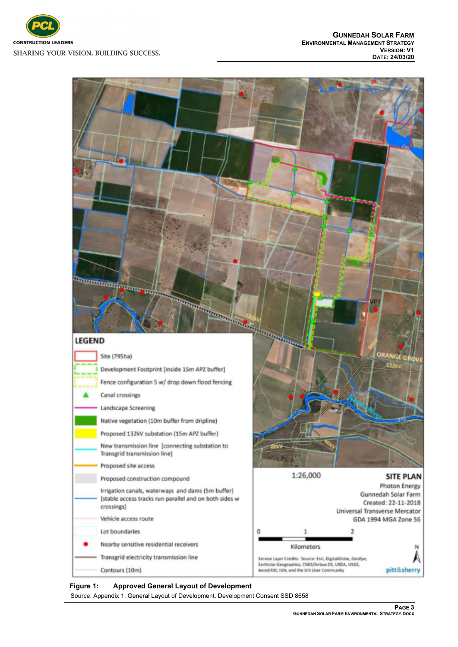



#### <span id="page-7-0"></span>**Figure 1: Approved General Layout of Development**

Source: Appendix 1, General Layout of Development. Development Consent SSD 8658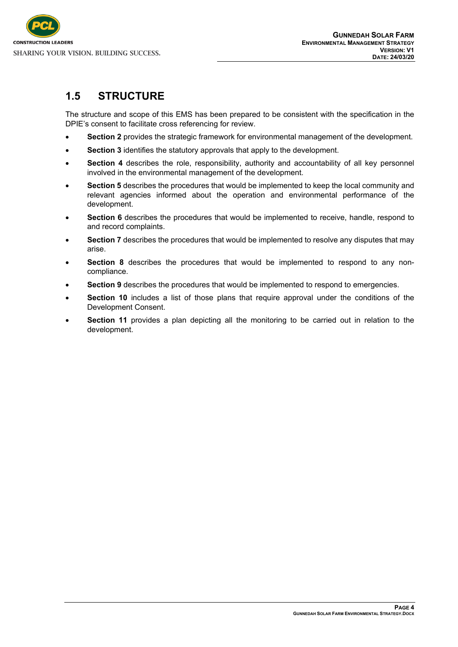

### <span id="page-8-0"></span>**1.5 STRUCTURE**

The structure and scope of this EMS has been prepared to be consistent with the specification in the DPIE's consent to facilitate cross referencing for review.

- **Section 2** provides the strategic framework for environmental management of the development.
- **Section 3** identifies the statutory approvals that apply to the development.
- **Section 4** describes the role, responsibility, authority and accountability of all key personnel involved in the environmental management of the development.
- **Section 5** describes the procedures that would be implemented to keep the local community and relevant agencies informed about the operation and environmental performance of the development.
- **Section 6** describes the procedures that would be implemented to receive, handle, respond to and record complaints.
- **Section 7** describes the procedures that would be implemented to resolve any disputes that may arise.
- **Section 8** describes the procedures that would be implemented to respond to any noncompliance.
- **Section 9** describes the procedures that would be implemented to respond to emergencies.
- **Section 10** includes a list of those plans that require approval under the conditions of the Development Consent.
- **Section 11** provides a plan depicting all the monitoring to be carried out in relation to the development.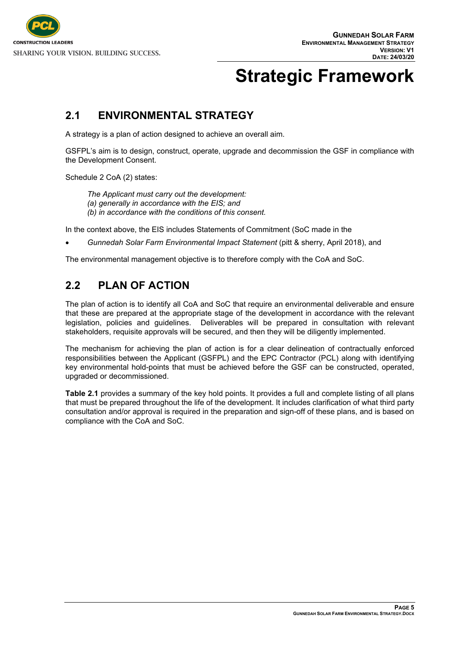

# <span id="page-9-0"></span>**Strategic Framework**

### <span id="page-9-1"></span>**2.1 ENVIRONMENTAL STRATEGY**

A strategy is a plan of action designed to achieve an overall aim.

GSFPL's aim is to design, construct, operate, upgrade and decommission the GSF in compliance with the Development Consent.

Schedule 2 CoA (2) states:

*The Applicant must carry out the development: (a) generally in accordance with the EIS; and (b) in accordance with the conditions of this consent.*

In the context above, the EIS includes Statements of Commitment (SoC made in the

*Gunnedah Solar Farm Environmental Impact Statement* (pitt & sherry, April 2018), and

<span id="page-9-2"></span>The environmental management objective is to therefore comply with the CoA and SoC.

### **2.2 PLAN OF ACTION**

The plan of action is to identify all CoA and SoC that require an environmental deliverable and ensure that these are prepared at the appropriate stage of the development in accordance with the relevant legislation, policies and guidelines. Deliverables will be prepared in consultation with relevant stakeholders, requisite approvals will be secured, and then they will be diligently implemented.

The mechanism for achieving the plan of action is for a clear delineation of contractually enforced responsibilities between the Applicant (GSFPL) and the EPC Contractor (PCL) along with identifying key environmental hold-points that must be achieved before the GSF can be constructed, operated, upgraded or decommissioned.

**Table 2.1** provides a summary of the key hold points. It provides a full and complete listing of all plans that must be prepared throughout the life of the development. It includes clarification of what third party consultation and/or approval is required in the preparation and sign-off of these plans, and is based on compliance with the CoA and SoC.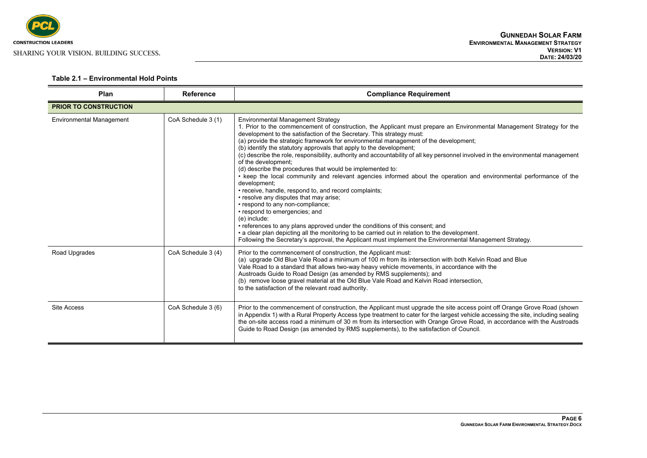

| Plan                            | <b>Reference</b>   | <b>Compliance Requirement</b>                                                                                                                                                                                                                                                                                                                                                                                                                                                                                                                                                                                                                                                                                                                                                                                                                                                                                                                                                                                                                                                                                                                                                                                                                                |
|---------------------------------|--------------------|--------------------------------------------------------------------------------------------------------------------------------------------------------------------------------------------------------------------------------------------------------------------------------------------------------------------------------------------------------------------------------------------------------------------------------------------------------------------------------------------------------------------------------------------------------------------------------------------------------------------------------------------------------------------------------------------------------------------------------------------------------------------------------------------------------------------------------------------------------------------------------------------------------------------------------------------------------------------------------------------------------------------------------------------------------------------------------------------------------------------------------------------------------------------------------------------------------------------------------------------------------------|
| <b>PRIOR TO CONSTRUCTION</b>    |                    |                                                                                                                                                                                                                                                                                                                                                                                                                                                                                                                                                                                                                                                                                                                                                                                                                                                                                                                                                                                                                                                                                                                                                                                                                                                              |
| <b>Environmental Management</b> | CoA Schedule 3 (1) | <b>Environmental Management Strategy</b><br>1. Prior to the commencement of construction, the Applicant must prepare an Environmental Management Strategy for the<br>development to the satisfaction of the Secretary. This strategy must:<br>(a) provide the strategic framework for environmental management of the development;<br>(b) identify the statutory approvals that apply to the development;<br>(c) describe the role, responsibility, authority and accountability of all key personnel involved in the environmental management<br>of the development:<br>(d) describe the procedures that would be implemented to:<br>• keep the local community and relevant agencies informed about the operation and environmental performance of the<br>development;<br>• receive, handle, respond to, and record complaints;<br>• resolve any disputes that may arise;<br>• respond to any non-compliance;<br>• respond to emergencies; and<br>(e) include:<br>• references to any plans approved under the conditions of this consent; and<br>• a clear plan depicting all the monitoring to be carried out in relation to the development.<br>Following the Secretary's approval, the Applicant must implement the Environmental Management Strategy. |
| Road Upgrades                   | CoA Schedule 3 (4) | Prior to the commencement of construction, the Applicant must:<br>(a) upgrade Old Blue Vale Road a minimum of 100 m from its intersection with both Kelvin Road and Blue<br>Vale Road to a standard that allows two-way heavy vehicle movements, in accordance with the<br>Austroads Guide to Road Design (as amended by RMS supplements); and<br>(b) remove loose gravel material at the Old Blue Vale Road and Kelvin Road intersection,<br>to the satisfaction of the relevant road authority.                                                                                                                                                                                                                                                                                                                                                                                                                                                                                                                                                                                                                                                                                                                                                            |
| Site Access                     | CoA Schedule 3 (6) | Prior to the commencement of construction, the Applicant must upgrade the site access point off Orange Grove Road (shown<br>in Appendix 1) with a Rural Property Access type treatment to cater for the largest vehicle accessing the site, including sealing<br>the on-site access road a minimum of 30 m from its intersection with Orange Grove Road, in accordance with the Austroads<br>Guide to Road Design (as amended by RMS supplements), to the satisfaction of Council.                                                                                                                                                                                                                                                                                                                                                                                                                                                                                                                                                                                                                                                                                                                                                                           |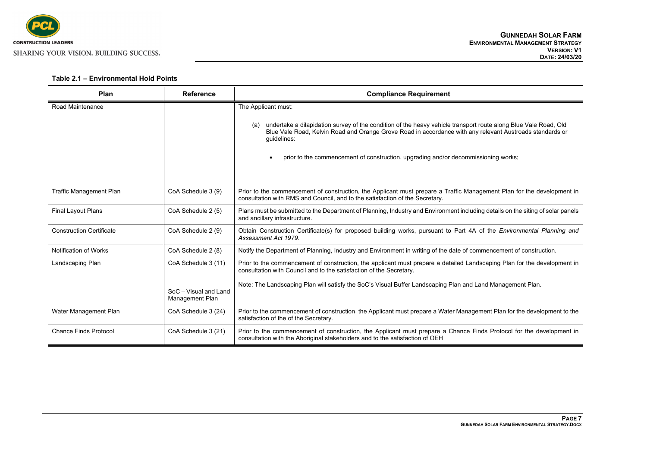

| Plan                            | <b>Reference</b>                                                       | <b>Compliance Requirement</b>                                                                                                                                                                                                                                                                                                                                  |
|---------------------------------|------------------------------------------------------------------------|----------------------------------------------------------------------------------------------------------------------------------------------------------------------------------------------------------------------------------------------------------------------------------------------------------------------------------------------------------------|
| Road Maintenance                |                                                                        | The Applicant must:<br>undertake a dilapidation survey of the condition of the heavy vehicle transport route along Blue Vale Road, Old<br>(a)<br>Blue Vale Road, Kelvin Road and Orange Grove Road in accordance with any relevant Austroads standards or<br>guidelines:<br>prior to the commencement of construction, upgrading and/or decommissioning works; |
| <b>Traffic Management Plan</b>  | CoA Schedule 3 (9)                                                     | Prior to the commencement of construction, the Applicant must prepare a Traffic Management Plan for the development in<br>consultation with RMS and Council, and to the satisfaction of the Secretary.                                                                                                                                                         |
| <b>Final Layout Plans</b>       | CoA Schedule 2 (5)                                                     | Plans must be submitted to the Department of Planning, Industry and Environment including details on the siting of solar panels<br>and ancillary infrastructure.                                                                                                                                                                                               |
| <b>Construction Certificate</b> | CoA Schedule 2 (9)                                                     | Obtain Construction Certificate(s) for proposed building works, pursuant to Part 4A of the Environmental Planning and<br>Assessment Act 1979.                                                                                                                                                                                                                  |
| <b>Notification of Works</b>    | CoA Schedule 2 (8)                                                     | Notify the Department of Planning, Industry and Environment in writing of the date of commencement of construction.                                                                                                                                                                                                                                            |
| Landscaping Plan                | CoA Schedule 3 (11)<br>SoC - Visual and Land<br><b>Management Plan</b> | Prior to the commencement of construction, the applicant must prepare a detailed Landscaping Plan for the development in<br>consultation with Council and to the satisfaction of the Secretary.<br>Note: The Landscaping Plan will satisfy the SoC's Visual Buffer Landscaping Plan and Land Management Plan.                                                  |
| Water Management Plan           | CoA Schedule 3 (24)                                                    | Prior to the commencement of construction, the Applicant must prepare a Water Management Plan for the development to the                                                                                                                                                                                                                                       |
|                                 |                                                                        | satisfaction of the of the Secretary.                                                                                                                                                                                                                                                                                                                          |
| <b>Chance Finds Protocol</b>    | CoA Schedule 3 (21)                                                    | Prior to the commencement of construction, the Applicant must prepare a Chance Finds Protocol for the development in<br>consultation with the Aboriginal stakeholders and to the satisfaction of OEH                                                                                                                                                           |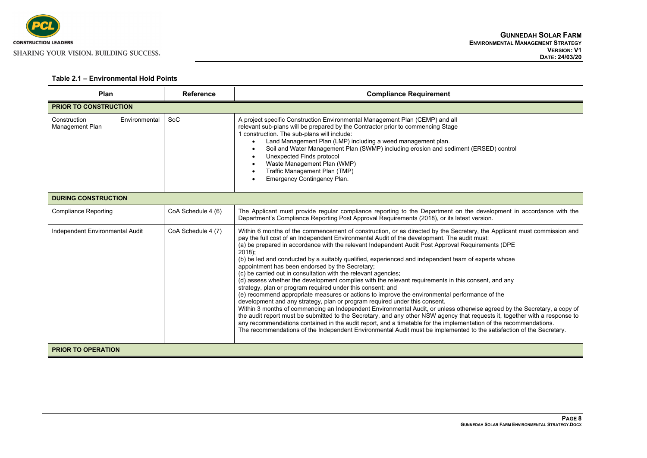

| Plan                                             | <b>Reference</b>   | <b>Compliance Requirement</b>                                                                                                                                                                                                                                                                                                                                                                                                                                                                                                                                                                                                                                                                                                                                                                                                                                                                                                                                                                                                                                                                                                                                                                                                                                                                                                                                                                                                    |
|--------------------------------------------------|--------------------|----------------------------------------------------------------------------------------------------------------------------------------------------------------------------------------------------------------------------------------------------------------------------------------------------------------------------------------------------------------------------------------------------------------------------------------------------------------------------------------------------------------------------------------------------------------------------------------------------------------------------------------------------------------------------------------------------------------------------------------------------------------------------------------------------------------------------------------------------------------------------------------------------------------------------------------------------------------------------------------------------------------------------------------------------------------------------------------------------------------------------------------------------------------------------------------------------------------------------------------------------------------------------------------------------------------------------------------------------------------------------------------------------------------------------------|
| <b>PRIOR TO CONSTRUCTION</b>                     |                    |                                                                                                                                                                                                                                                                                                                                                                                                                                                                                                                                                                                                                                                                                                                                                                                                                                                                                                                                                                                                                                                                                                                                                                                                                                                                                                                                                                                                                                  |
| Construction<br>Environmental<br>Management Plan | SoC                | A project specific Construction Environmental Management Plan (CEMP) and all<br>relevant sub-plans will be prepared by the Contractor prior to commencing Stage<br>1 construction. The sub-plans will include:<br>Land Management Plan (LMP) including a weed management plan.<br>Soil and Water Management Plan (SWMP) including erosion and sediment (ERSED) control<br>Unexpected Finds protocol<br>$\bullet$<br>Waste Management Plan (WMP)<br>Traffic Management Plan (TMP)<br>$\bullet$<br>Emergency Contingency Plan.                                                                                                                                                                                                                                                                                                                                                                                                                                                                                                                                                                                                                                                                                                                                                                                                                                                                                                     |
| <b>DURING CONSTRUCTION</b>                       |                    |                                                                                                                                                                                                                                                                                                                                                                                                                                                                                                                                                                                                                                                                                                                                                                                                                                                                                                                                                                                                                                                                                                                                                                                                                                                                                                                                                                                                                                  |
| <b>Compliance Reporting</b>                      | CoA Schedule 4 (6) | The Applicant must provide regular compliance reporting to the Department on the development in accordance with the<br>Department's Compliance Reporting Post Approval Requirements (2018), or its latest version.                                                                                                                                                                                                                                                                                                                                                                                                                                                                                                                                                                                                                                                                                                                                                                                                                                                                                                                                                                                                                                                                                                                                                                                                               |
| Independent Environmental Audit                  | CoA Schedule 4 (7) | Within 6 months of the commencement of construction, or as directed by the Secretary, the Applicant must commission and<br>pay the full cost of an Independent Environmental Audit of the development. The audit must:<br>(a) be prepared in accordance with the relevant Independent Audit Post Approval Requirements (DPE<br>$2018$ );<br>(b) be led and conducted by a suitably qualified, experienced and independent team of experts whose<br>appointment has been endorsed by the Secretary;<br>(c) be carried out in consultation with the relevant agencies;<br>(d) assess whether the development complies with the relevant requirements in this consent, and any<br>strategy, plan or program required under this consent; and<br>(e) recommend appropriate measures or actions to improve the environmental performance of the<br>development and any strategy, plan or program required under this consent.<br>Within 3 months of commencing an Independent Environmental Audit, or unless otherwise agreed by the Secretary, a copy of<br>the audit report must be submitted to the Secretary, and any other NSW agency that requests it, together with a response to<br>any recommendations contained in the audit report, and a timetable for the implementation of the recommendations.<br>The recommendations of the Independent Environmental Audit must be implemented to the satisfaction of the Secretary. |
| <b>PRIOR TO OPERATION</b>                        |                    |                                                                                                                                                                                                                                                                                                                                                                                                                                                                                                                                                                                                                                                                                                                                                                                                                                                                                                                                                                                                                                                                                                                                                                                                                                                                                                                                                                                                                                  |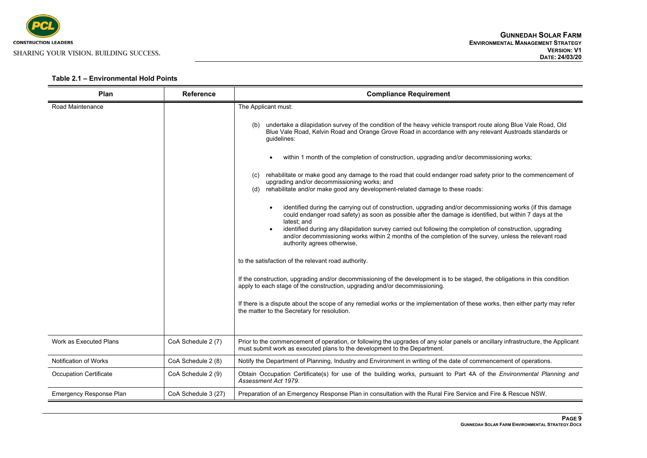

| Plan                           | <b>Reference</b>    | <b>Compliance Requirement</b>                                                                                                                                                                                                                              |
|--------------------------------|---------------------|------------------------------------------------------------------------------------------------------------------------------------------------------------------------------------------------------------------------------------------------------------|
| Road Maintenance               |                     | The Applicant must:                                                                                                                                                                                                                                        |
|                                |                     | undertake a dilapidation survey of the condition of the heavy vehicle transport route along Blue Vale Road, Old<br>Blue Vale Road, Kelvin Road and Orange Grove Road in accordance with any relevant Austroads standards or<br>quidelines:                 |
|                                |                     | within 1 month of the completion of construction, upgrading and/or decommissioning works;                                                                                                                                                                  |
|                                |                     | rehabilitate or make good any damage to the road that could endanger road safety prior to the commencement of<br>(c)<br>upgrading and/or decommissioning works; and<br>rehabilitate and/or make good any development-related damage to these roads:<br>(d) |
|                                |                     | identified during the carrying out of construction, upgrading and/or decommissioning works (if this damage<br>$\bullet$<br>could endanger road safety) as soon as possible after the damage is identified, but within 7 days at the<br>latest; and         |
|                                |                     | identified during any dilapidation survey carried out following the completion of construction, upgrading<br>and/or decommissioning works within 2 months of the completion of the survey, unless the relevant road<br>authority agrees otherwise,         |
|                                |                     | to the satisfaction of the relevant road authority.                                                                                                                                                                                                        |
|                                |                     | If the construction, upgrading and/or decommissioning of the development is to be staged, the obligations in this condition<br>apply to each stage of the construction, upgrading and/or decommissioning.                                                  |
|                                |                     | If there is a dispute about the scope of any remedial works or the implementation of these works, then either party may refer<br>the matter to the Secretary for resolution.                                                                               |
| Work as Executed Plans         | CoA Schedule 2 (7)  | Prior to the commencement of operation, or following the upgrades of any solar panels or ancillary infrastructure, the Applicant<br>must submit work as executed plans to the development to the Department.                                               |
| Notification of Works          | CoA Schedule 2 (8)  | Notify the Department of Planning, Industry and Environment in writing of the date of commencement of operations.                                                                                                                                          |
| <b>Occupation Certificate</b>  | CoA Schedule 2 (9)  | Obtain Occupation Certificate(s) for use of the building works, pursuant to Part 4A of the Environmental Planning and<br>Assessment Act 1979.                                                                                                              |
| <b>Emergency Response Plan</b> | CoA Schedule 3 (27) | Preparation of an Emergency Response Plan in consultation with the Rural Fire Service and Fire & Rescue NSW.                                                                                                                                               |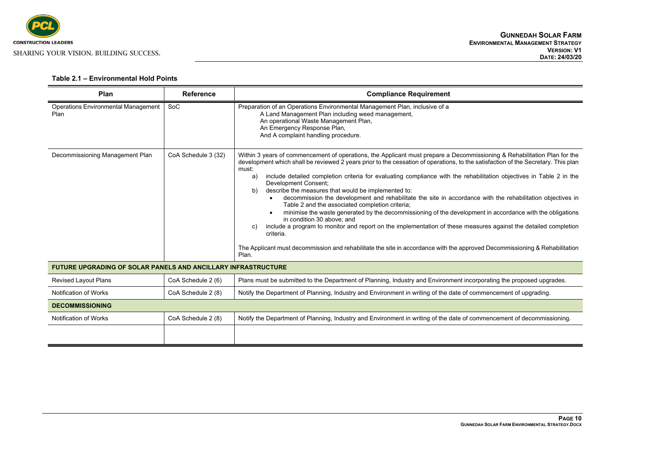

<span id="page-14-0"></span>

| Plan                                                                 | <b>Reference</b>    | <b>Compliance Requirement</b>                                                                                                                                                                                                                                                                                                                                                                                                                                                                                                                                                                                                                                                                                                                                                                                                                                                                                                                                                                                                                                                     |  |
|----------------------------------------------------------------------|---------------------|-----------------------------------------------------------------------------------------------------------------------------------------------------------------------------------------------------------------------------------------------------------------------------------------------------------------------------------------------------------------------------------------------------------------------------------------------------------------------------------------------------------------------------------------------------------------------------------------------------------------------------------------------------------------------------------------------------------------------------------------------------------------------------------------------------------------------------------------------------------------------------------------------------------------------------------------------------------------------------------------------------------------------------------------------------------------------------------|--|
| <b>Operations Environmental Management</b><br>Plan                   | <b>SoC</b>          | Preparation of an Operations Environmental Management Plan, inclusive of a<br>A Land Management Plan including weed management,<br>An operational Waste Management Plan,<br>An Emergency Response Plan,<br>And A complaint handling procedure.                                                                                                                                                                                                                                                                                                                                                                                                                                                                                                                                                                                                                                                                                                                                                                                                                                    |  |
| Decommissioning Management Plan                                      | CoA Schedule 3 (32) | Within 3 years of commencement of operations, the Applicant must prepare a Decommissioning & Rehabilitation Plan for the<br>development which shall be reviewed 2 years prior to the cessation of operations, to the satisfaction of the Secretary. This plan<br>must:<br>include detailed completion criteria for evaluating compliance with the rehabilitation objectives in Table 2 in the<br>a)<br>Development Consent;<br>describe the measures that would be implemented to:<br>b)<br>decommission the development and rehabilitate the site in accordance with the rehabilitation objectives in<br>Table 2 and the associated completion criteria;<br>minimise the waste generated by the decommissioning of the development in accordance with the obligations<br>in condition 30 above: and<br>include a program to monitor and report on the implementation of these measures against the detailed completion<br>C)<br>criteria.<br>The Applicant must decommission and rehabilitate the site in accordance with the approved Decommissioning & Rehabilitation<br>Plan. |  |
| <b>FUTURE UPGRADING OF SOLAR PANELS AND ANCILLARY INFRASTRUCTURE</b> |                     |                                                                                                                                                                                                                                                                                                                                                                                                                                                                                                                                                                                                                                                                                                                                                                                                                                                                                                                                                                                                                                                                                   |  |
| <b>Revised Layout Plans</b>                                          | CoA Schedule 2 (6)  | Plans must be submitted to the Department of Planning, Industry and Environment incorporating the proposed upgrades.                                                                                                                                                                                                                                                                                                                                                                                                                                                                                                                                                                                                                                                                                                                                                                                                                                                                                                                                                              |  |
| Notification of Works                                                | CoA Schedule 2 (8)  | Notify the Department of Planning, Industry and Environment in writing of the date of commencement of upgrading.                                                                                                                                                                                                                                                                                                                                                                                                                                                                                                                                                                                                                                                                                                                                                                                                                                                                                                                                                                  |  |
| <b>DECOMMISSIONING</b>                                               |                     |                                                                                                                                                                                                                                                                                                                                                                                                                                                                                                                                                                                                                                                                                                                                                                                                                                                                                                                                                                                                                                                                                   |  |
| Notification of Works                                                | CoA Schedule 2 (8)  | Notify the Department of Planning, Industry and Environment in writing of the date of commencement of decommissioning.                                                                                                                                                                                                                                                                                                                                                                                                                                                                                                                                                                                                                                                                                                                                                                                                                                                                                                                                                            |  |
|                                                                      |                     |                                                                                                                                                                                                                                                                                                                                                                                                                                                                                                                                                                                                                                                                                                                                                                                                                                                                                                                                                                                                                                                                                   |  |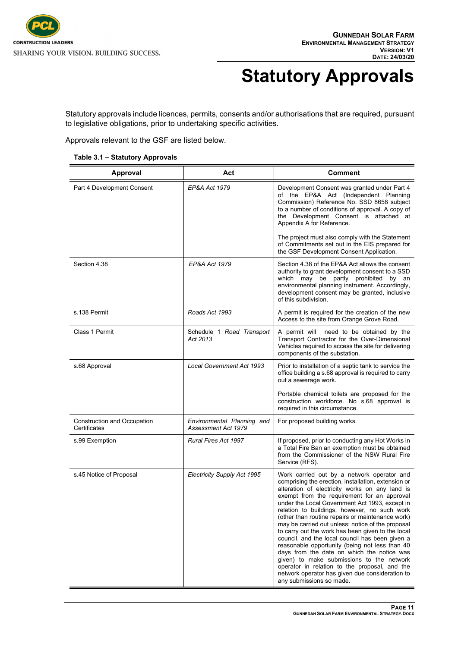

# <span id="page-15-0"></span>**Statutory Approvals**

Statutory approvals include licences, permits, consents and/or authorisations that are required, pursuant to legislative obligations, prior to undertaking specific activities.

Approvals relevant to the GSF are listed below.

| Table 3.1 - Statutory Approvals |
|---------------------------------|
|---------------------------------|

| Approval                                    | Act                                               | <b>Comment</b>                                                                                                                                                                                                                                                                                                                                                                                                                                                                                                                                                                                                                                                                                                                                                                                     |
|---------------------------------------------|---------------------------------------------------|----------------------------------------------------------------------------------------------------------------------------------------------------------------------------------------------------------------------------------------------------------------------------------------------------------------------------------------------------------------------------------------------------------------------------------------------------------------------------------------------------------------------------------------------------------------------------------------------------------------------------------------------------------------------------------------------------------------------------------------------------------------------------------------------------|
| Part 4 Development Consent                  | EP&A Act 1979                                     | Development Consent was granted under Part 4<br>of the EP&A Act (Independent Planning<br>Commission) Reference No. SSD 8658 subject<br>to a number of conditions of approval. A copy of<br>the Development Consent is attached at<br>Appendix A for Reference.                                                                                                                                                                                                                                                                                                                                                                                                                                                                                                                                     |
|                                             |                                                   | The project must also comply with the Statement<br>of Commitments set out in the EIS prepared for<br>the GSF Development Consent Application.                                                                                                                                                                                                                                                                                                                                                                                                                                                                                                                                                                                                                                                      |
| Section 4.38                                | EP&A Act 1979                                     | Section 4.38 of the EP&A Act allows the consent<br>authority to grant development consent to a SSD<br>which may be partly prohibited by an<br>environmental planning instrument. Accordingly,<br>development consent may be granted, inclusive<br>of this subdivision.                                                                                                                                                                                                                                                                                                                                                                                                                                                                                                                             |
| s.138 Permit                                | Roads Act 1993                                    | A permit is required for the creation of the new<br>Access to the site from Orange Grove Road.                                                                                                                                                                                                                                                                                                                                                                                                                                                                                                                                                                                                                                                                                                     |
| Class 1 Permit                              | Schedule 1 Road Transport<br>Act 2013             | A permit will<br>need to be obtained by the<br>Transport Contractor for the Over-Dimensional<br>Vehicles required to access the site for delivering<br>components of the substation.                                                                                                                                                                                                                                                                                                                                                                                                                                                                                                                                                                                                               |
| s.68 Approval                               | <b>Local Government Act 1993</b>                  | Prior to installation of a septic tank to service the<br>office building a s.68 approval is required to carry<br>out a sewerage work.                                                                                                                                                                                                                                                                                                                                                                                                                                                                                                                                                                                                                                                              |
|                                             |                                                   | Portable chemical toilets are proposed for the<br>construction workforce. No s.68 approval is<br>required in this circumstance.                                                                                                                                                                                                                                                                                                                                                                                                                                                                                                                                                                                                                                                                    |
| Construction and Occupation<br>Certificates | Environmental Planning and<br>Assessment Act 1979 | For proposed building works.                                                                                                                                                                                                                                                                                                                                                                                                                                                                                                                                                                                                                                                                                                                                                                       |
| s.99 Exemption                              | Rural Fires Act 1997                              | If proposed, prior to conducting any Hot Works in<br>a Total Fire Ban an exemption must be obtained<br>from the Commissioner of the NSW Rural Fire<br>Service (RFS).                                                                                                                                                                                                                                                                                                                                                                                                                                                                                                                                                                                                                               |
| s.45 Notice of Proposal                     | Electricity Supply Act 1995                       | Work carried out by a network operator and<br>comprising the erection, installation, extension or<br>alteration of electricity works on any land is<br>exempt from the requirement for an approval<br>under the Local Government Act 1993, except in<br>relation to buildings, however, no such work<br>(other than routine repairs or maintenance work)<br>may be carried out unless: notice of the proposal<br>to carry out the work has been given to the local<br>council, and the local council has been given a<br>reasonable opportunity (being not less than 40<br>days from the date on which the notice was<br>given) to make submissions to the network<br>operator in relation to the proposal, and the<br>network operator has given due consideration to<br>any submissions so made. |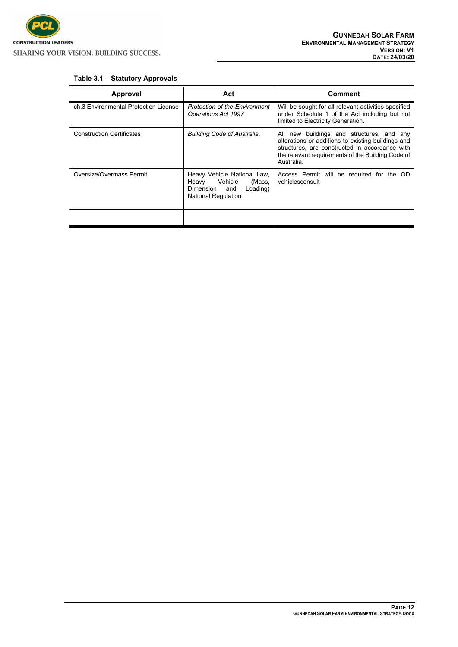

#### <span id="page-16-0"></span>**Table 3.1 – Statutory Approvals**

| Approval                              | Act                                                                                                                  | Comment                                                                                                                                                                                                              |
|---------------------------------------|----------------------------------------------------------------------------------------------------------------------|----------------------------------------------------------------------------------------------------------------------------------------------------------------------------------------------------------------------|
| ch.3 Environmental Protection License | <b>Protection of the Environment</b><br><b>Operations Act 1997</b>                                                   | Will be sought for all relevant activities specified<br>under Schedule 1 of the Act including but not<br>limited to Electricity Generation.                                                                          |
| <b>Construction Certificates</b>      | <b>Building Code of Australia.</b>                                                                                   | All new buildings and structures, and any<br>alterations or additions to existing buildings and<br>structures, are constructed in accordance with<br>the relevant requirements of the Building Code of<br>Australia. |
| Oversize/Overmass Permit              | Heavy Vehicle National Law,<br>Heavy Vehicle<br>(Mass,<br>Dimension<br>and<br>Loading)<br><b>National Regulation</b> | Access Permit will be required for the OD<br>vehiclesconsult                                                                                                                                                         |
|                                       |                                                                                                                      |                                                                                                                                                                                                                      |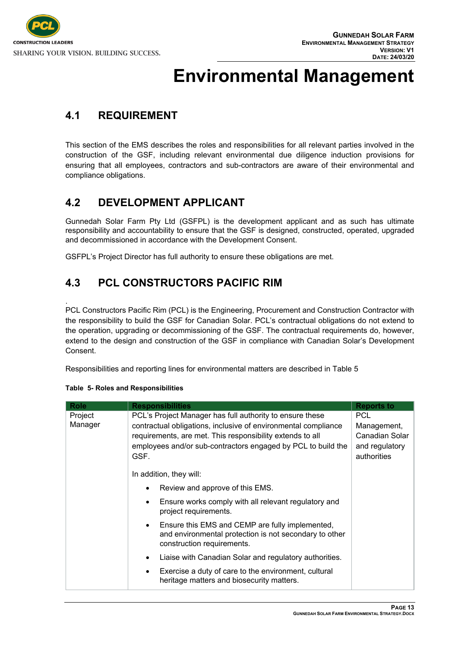

## <span id="page-17-0"></span>**Environmental Management**

## <span id="page-17-1"></span>**4.1 REQUIREMENT**

This section of the EMS describes the roles and responsibilities for all relevant parties involved in the construction of the GSF, including relevant environmental due diligence induction provisions for ensuring that all employees, contractors and sub-contractors are aware of their environmental and compliance obligations.

## <span id="page-17-2"></span>**4.2 DEVELOPMENT APPLICANT**

Gunnedah Solar Farm Pty Ltd (GSFPL) is the development applicant and as such has ultimate responsibility and accountability to ensure that the GSF is designed, constructed, operated, upgraded and decommissioned in accordance with the Development Consent.

<span id="page-17-3"></span>GSFPL's Project Director has full authority to ensure these obligations are met.

## **4.3 PCL CONSTRUCTORS PACIFIC RIM**

. PCL Constructors Pacific Rim (PCL) is the Engineering, Procurement and Construction Contractor with the responsibility to build the GSF for Canadian Solar. PCL's contractual obligations do not extend to the operation, upgrading or decommissioning of the GSF. The contractual requirements do, however, extend to the design and construction of the GSF in compliance with Canadian Solar's Development Consent.

Responsibilities and reporting lines for environmental matters are described in Table 5

| <b>Role</b> | <b>Responsibilities</b>                                                                                                                              | <b>Reports to</b>             |
|-------------|------------------------------------------------------------------------------------------------------------------------------------------------------|-------------------------------|
| Project     | PCL's Project Manager has full authority to ensure these                                                                                             | <b>PCL</b>                    |
| Manager     | contractual obligations, inclusive of environmental compliance                                                                                       | Management,                   |
|             | requirements, are met. This responsibility extends to all                                                                                            | Canadian Solar                |
|             | employees and/or sub-contractors engaged by PCL to build the<br>GSF.                                                                                 | and regulatory<br>authorities |
|             | In addition, they will:                                                                                                                              |                               |
|             | Review and approve of this EMS.<br>$\bullet$                                                                                                         |                               |
|             | Ensure works comply with all relevant regulatory and<br>$\bullet$<br>project requirements.                                                           |                               |
|             | Ensure this EMS and CEMP are fully implemented,<br>$\bullet$<br>and environmental protection is not secondary to other<br>construction requirements. |                               |
|             | Liaise with Canadian Solar and regulatory authorities.<br>$\bullet$                                                                                  |                               |
|             | Exercise a duty of care to the environment, cultural<br>$\bullet$<br>heritage matters and biosecurity matters.                                       |                               |

#### **Table 5- Roles and Responsibilities**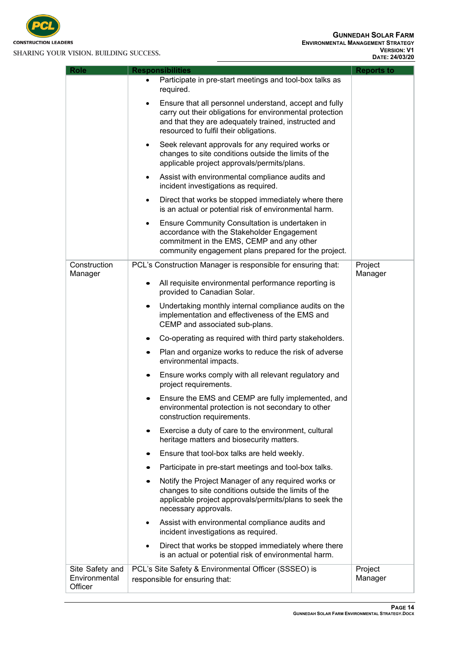

| <b>Role</b>                                 | <b>Responsibilities</b>                                                                                                                                                                                              | <b>Reports to</b>  |
|---------------------------------------------|----------------------------------------------------------------------------------------------------------------------------------------------------------------------------------------------------------------------|--------------------|
|                                             | Participate in pre-start meetings and tool-box talks as<br>$\bullet$<br>required.                                                                                                                                    |                    |
|                                             | Ensure that all personnel understand, accept and fully<br>carry out their obligations for environmental protection<br>and that they are adequately trained, instructed and<br>resourced to fulfil their obligations. |                    |
|                                             | Seek relevant approvals for any required works or<br>٠<br>changes to site conditions outside the limits of the<br>applicable project approvals/permits/plans.                                                        |                    |
|                                             | Assist with environmental compliance audits and<br>٠<br>incident investigations as required.                                                                                                                         |                    |
|                                             | Direct that works be stopped immediately where there<br>٠<br>is an actual or potential risk of environmental harm.                                                                                                   |                    |
|                                             | Ensure Community Consultation is undertaken in<br>٠<br>accordance with the Stakeholder Engagement<br>commitment in the EMS, CEMP and any other<br>community engagement plans prepared for the project.               |                    |
| Construction                                | PCL's Construction Manager is responsible for ensuring that:                                                                                                                                                         | Project            |
| Manager                                     | All requisite environmental performance reporting is<br>provided to Canadian Solar.                                                                                                                                  | Manager            |
|                                             | Undertaking monthly internal compliance audits on the<br>implementation and effectiveness of the EMS and<br>CEMP and associated sub-plans.                                                                           |                    |
|                                             | Co-operating as required with third party stakeholders.                                                                                                                                                              |                    |
|                                             | Plan and organize works to reduce the risk of adverse<br>$\bullet$<br>environmental impacts.                                                                                                                         |                    |
|                                             | Ensure works comply with all relevant regulatory and<br>٠<br>project requirements.                                                                                                                                   |                    |
|                                             | Ensure the EMS and CEMP are fully implemented, and<br>environmental protection is not secondary to other<br>construction requirements.                                                                               |                    |
|                                             | Exercise a duty of care to the environment, cultural<br>heritage matters and biosecurity matters.                                                                                                                    |                    |
|                                             | Ensure that tool-box talks are held weekly.<br>٠                                                                                                                                                                     |                    |
|                                             | Participate in pre-start meetings and tool-box talks.                                                                                                                                                                |                    |
|                                             | Notify the Project Manager of any required works or<br>changes to site conditions outside the limits of the<br>applicable project approvals/permits/plans to seek the<br>necessary approvals.                        |                    |
|                                             | Assist with environmental compliance audits and<br>٠<br>incident investigations as required.                                                                                                                         |                    |
|                                             | Direct that works be stopped immediately where there<br>$\bullet$<br>is an actual or potential risk of environmental harm.                                                                                           |                    |
| Site Safety and<br>Environmental<br>Officer | PCL's Site Safety & Environmental Officer (SSSEO) is<br>responsible for ensuring that:                                                                                                                               | Project<br>Manager |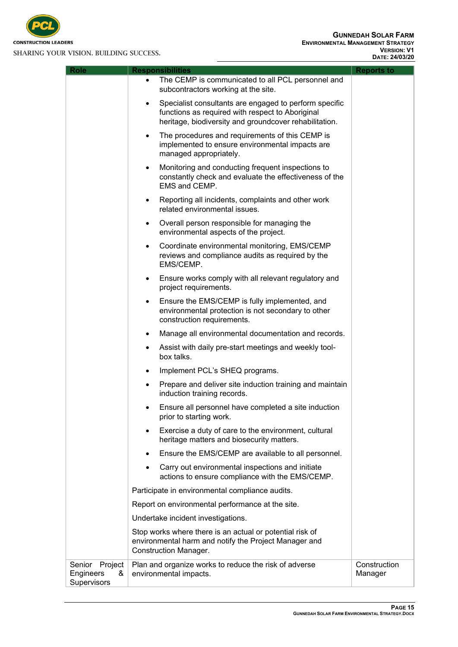

| <b>Role</b>                                        | <b>Responsibilities</b>                                                                                                                                                   | <b>Reports to</b>       |
|----------------------------------------------------|---------------------------------------------------------------------------------------------------------------------------------------------------------------------------|-------------------------|
|                                                    | The CEMP is communicated to all PCL personnel and<br>$\bullet$<br>subcontractors working at the site.                                                                     |                         |
|                                                    | Specialist consultants are engaged to perform specific<br>٠<br>functions as required with respect to Aboriginal<br>heritage, biodiversity and groundcover rehabilitation. |                         |
|                                                    | The procedures and requirements of this CEMP is<br>٠<br>implemented to ensure environmental impacts are<br>managed appropriately.                                         |                         |
|                                                    | Monitoring and conducting frequent inspections to<br>٠<br>constantly check and evaluate the effectiveness of the<br>EMS and CEMP.                                         |                         |
|                                                    | Reporting all incidents, complaints and other work<br>٠<br>related environmental issues.                                                                                  |                         |
|                                                    | Overall person responsible for managing the<br>٠<br>environmental aspects of the project.                                                                                 |                         |
|                                                    | Coordinate environmental monitoring, EMS/CEMP<br>٠<br>reviews and compliance audits as required by the<br>EMS/CEMP.                                                       |                         |
|                                                    | Ensure works comply with all relevant regulatory and<br>٠<br>project requirements.                                                                                        |                         |
|                                                    | Ensure the EMS/CEMP is fully implemented, and<br>٠<br>environmental protection is not secondary to other<br>construction requirements.                                    |                         |
|                                                    | Manage all environmental documentation and records.<br>٠                                                                                                                  |                         |
|                                                    | Assist with daily pre-start meetings and weekly tool-<br>٠<br>box talks.                                                                                                  |                         |
|                                                    | Implement PCL's SHEQ programs.<br>٠                                                                                                                                       |                         |
|                                                    | Prepare and deliver site induction training and maintain<br>٠<br>induction training records.                                                                              |                         |
|                                                    | Ensure all personnel have completed a site induction<br>٠<br>prior to starting work.                                                                                      |                         |
|                                                    | Exercise a duty of care to the environment, cultural<br>٠<br>heritage matters and biosecurity matters.                                                                    |                         |
|                                                    | Ensure the EMS/CEMP are available to all personnel.<br>٠                                                                                                                  |                         |
|                                                    | Carry out environmental inspections and initiate<br>actions to ensure compliance with the EMS/CEMP.                                                                       |                         |
|                                                    | Participate in environmental compliance audits.                                                                                                                           |                         |
|                                                    | Report on environmental performance at the site.                                                                                                                          |                         |
|                                                    | Undertake incident investigations.                                                                                                                                        |                         |
|                                                    | Stop works where there is an actual or potential risk of<br>environmental harm and notify the Project Manager and<br><b>Construction Manager.</b>                         |                         |
| Senior<br>Project<br>Engineers<br>&<br>Supervisors | Plan and organize works to reduce the risk of adverse<br>environmental impacts.                                                                                           | Construction<br>Manager |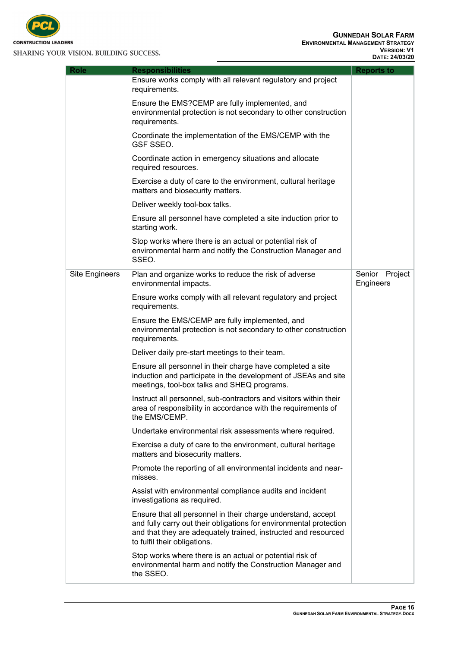

**Role Responsibilities Reports to**

Ensure works comply with all relevant regulatory and project requirements. Ensure the EMS?CEMP are fully implemented, and environmental protection is not secondary to other construction requirements. Coordinate the implementation of the EMS/CEMP with the GSF SSEO. Coordinate action in emergency situations and allocate required resources. Exercise a duty of care to the environment, cultural heritage matters and biosecurity matters. Deliver weekly tool-box talks. Ensure all personnel have completed a site induction prior to starting work. Stop works where there is an actual or potential risk of environmental harm and notify the Construction Manager and SSEO. Site Engineers  $\Box$  Plan and organize works to reduce the risk of adverse environmental impacts. Ensure works comply with all relevant regulatory and project requirements. Ensure the EMS/CEMP are fully implemented, and environmental protection is not secondary to other construction requirements. Deliver daily pre-start meetings to their team. Ensure all personnel in their charge have completed a site induction and participate in the development of JSEAs and site meetings, tool-box talks and SHEQ programs. Instruct all personnel, sub-contractors and visitors within their area of responsibility in accordance with the requirements of the EMS/CEMP. Undertake environmental risk assessments where required. Exercise a duty of care to the environment, cultural heritage matters and biosecurity matters. Promote the reporting of all environmental incidents and nearmisses. Assist with environmental compliance audits and incident investigations as required. Ensure that all personnel in their charge understand, accept and fully carry out their obligations for environmental protection and that they are adequately trained, instructed and resourced to fulfil their obligations. Senior Project **Engineers** 

Stop works where there is an actual or potential risk of environmental harm and notify the Construction Manager and the SSEO.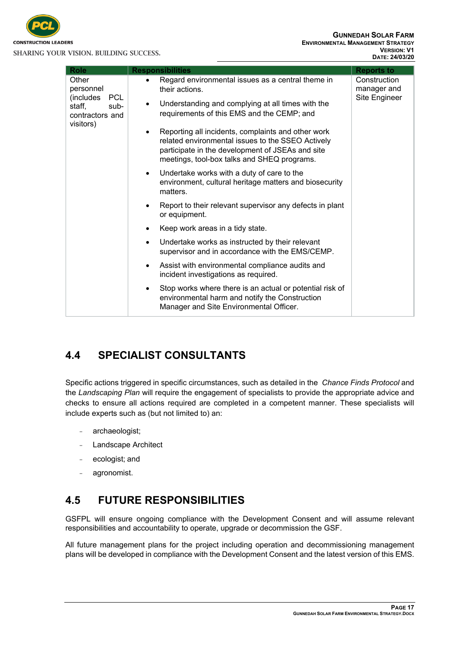

| <b>Role</b>                                                                                     | <b>Responsibilities</b>                                                                                                                                                                                                 | <b>Reports to</b>           |
|-------------------------------------------------------------------------------------------------|-------------------------------------------------------------------------------------------------------------------------------------------------------------------------------------------------------------------------|-----------------------------|
| Other<br>personnel<br><b>PCL</b><br>(includes<br>staff,<br>sub-<br>contractors and<br>visitors) | Regard environmental issues as a central theme in<br>their actions.                                                                                                                                                     | Construction<br>manager and |
|                                                                                                 | Understanding and complying at all times with the<br>requirements of this EMS and the CEMP; and                                                                                                                         | Site Engineer               |
|                                                                                                 | Reporting all incidents, complaints and other work<br>$\bullet$<br>related environmental issues to the SSEO Actively<br>participate in the development of JSEAs and site<br>meetings, tool-box talks and SHEQ programs. |                             |
|                                                                                                 | Undertake works with a duty of care to the<br>$\bullet$<br>environment, cultural heritage matters and biosecurity<br>matters.                                                                                           |                             |
|                                                                                                 | Report to their relevant supervisor any defects in plant<br>or equipment.                                                                                                                                               |                             |
|                                                                                                 | Keep work areas in a tidy state.                                                                                                                                                                                        |                             |
|                                                                                                 | Undertake works as instructed by their relevant<br>$\bullet$<br>supervisor and in accordance with the EMS/CEMP.                                                                                                         |                             |
|                                                                                                 | Assist with environmental compliance audits and<br>$\bullet$<br>incident investigations as required.                                                                                                                    |                             |
|                                                                                                 | Stop works where there is an actual or potential risk of<br>$\bullet$<br>environmental harm and notify the Construction<br>Manager and Site Environmental Officer.                                                      |                             |

## <span id="page-21-0"></span>**4.4 SPECIALIST CONSULTANTS**

Specific actions triggered in specific circumstances, such as detailed in the *Chance Finds Protocol* and the *Landscaping Plan* will require the engagement of specialists to provide the appropriate advice and checks to ensure all actions required are completed in a competent manner. These specialists will include experts such as (but not limited to) an:

- archaeologist;
- Landscape Architect
- ecologist; and
- agronomist.

## <span id="page-21-1"></span>**4.5 FUTURE RESPONSIBILITIES**

GSFPL will ensure ongoing compliance with the Development Consent and will assume relevant responsibilities and accountability to operate, upgrade or decommission the GSF.

All future management plans for the project including operation and decommissioning management plans will be developed in compliance with the Development Consent and the latest version of this EMS.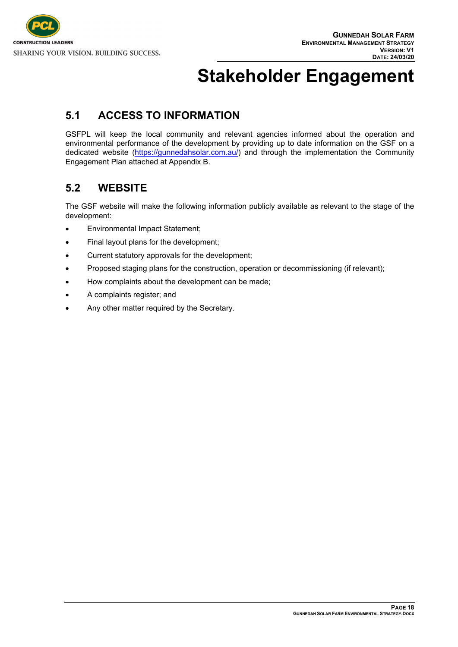# <span id="page-22-0"></span>**Stakeholder Engagement**

## <span id="page-22-1"></span>**5.1 ACCESS TO INFORMATION**

GSFPL will keep the local community and relevant agencies informed about the operation and environmental performance of the development by providing up to date information on the GSF on a dedicated website [\(https://gunnedahsolar.com.au/\)](https://gunnedahsolar.com.au/) and through the implementation the Community Engagement Plan attached at Appendix B.

## <span id="page-22-2"></span>**5.2 WEBSITE**

The GSF website will make the following information publicly available as relevant to the stage of the development:

- Environmental Impact Statement;
- Final layout plans for the development;
- Current statutory approvals for the development;
- Proposed staging plans for the construction, operation or decommissioning (if relevant);
- How complaints about the development can be made;
- A complaints register; and
- Any other matter required by the Secretary.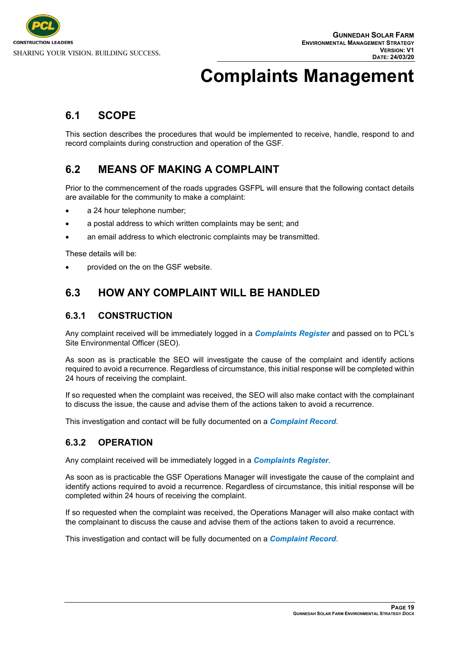# <span id="page-23-0"></span>**Complaints Management**

### <span id="page-23-1"></span>**6.1 SCOPE**

This section describes the procedures that would be implemented to receive, handle, respond to and record complaints during construction and operation of the GSF.

### <span id="page-23-2"></span>**6.2 MEANS OF MAKING A COMPLAINT**

Prior to the commencement of the roads upgrades GSFPL will ensure that the following contact details are available for the community to make a complaint:

- a 24 hour telephone number;
- a postal address to which written complaints may be sent; and
- an email address to which electronic complaints may be transmitted.

These details will be:

<span id="page-23-3"></span>provided on the on the GSF website.

## **6.3 HOW ANY COMPLAINT WILL BE HANDLED**

#### <span id="page-23-4"></span>**6.3.1 CONSTRUCTION**

Any complaint received will be immediately logged in a *Complaints Register* and passed on to PCL's Site Environmental Officer (SEO).

As soon as is practicable the SEO will investigate the cause of the complaint and identify actions required to avoid a recurrence. Regardless of circumstance, this initial response will be completed within 24 hours of receiving the complaint.

If so requested when the complaint was received, the SEO will also make contact with the complainant to discuss the issue, the cause and advise them of the actions taken to avoid a recurrence.

<span id="page-23-5"></span>This investigation and contact will be fully documented on a *Complaint Record*.

#### **6.3.2 OPERATION**

Any complaint received will be immediately logged in a *Complaints Register*.

As soon as is practicable the GSF Operations Manager will investigate the cause of the complaint and identify actions required to avoid a recurrence. Regardless of circumstance, this initial response will be completed within 24 hours of receiving the complaint.

If so requested when the complaint was received, the Operations Manager will also make contact with the complainant to discuss the cause and advise them of the actions taken to avoid a recurrence.

This investigation and contact will be fully documented on a *Complaint Record*.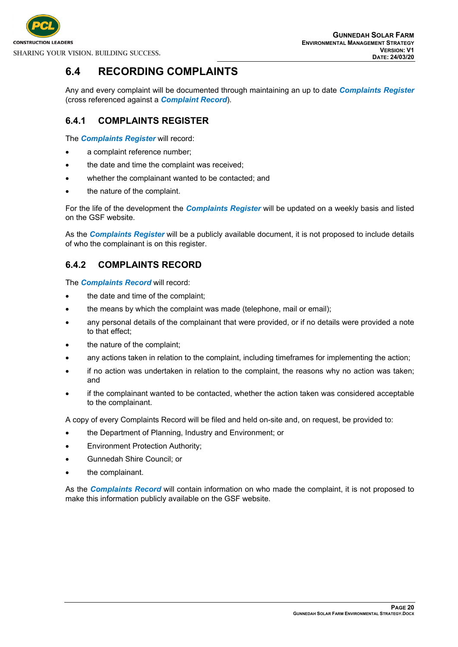

### <span id="page-24-0"></span>**6.4 RECORDING COMPLAINTS**

Any and every complaint will be documented through maintaining an up to date *Complaints Register* (cross referenced against a *Complaint Record*).

#### <span id="page-24-1"></span>**6.4.1 COMPLAINTS REGISTER**

The *Complaints Register* will record:

- a complaint reference number;
- the date and time the complaint was received;
- whether the complainant wanted to be contacted; and
- the nature of the complaint.

For the life of the development the *Complaints Register* will be updated on a weekly basis and listed on the GSF website.

As the *Complaints Register* will be a publicly available document, it is not proposed to include details of who the complainant is on this register.

#### <span id="page-24-2"></span>**6.4.2 COMPLAINTS RECORD**

The *Complaints Record* will record:

- the date and time of the complaint;
- the means by which the complaint was made (telephone, mail or email);
- any personal details of the complainant that were provided, or if no details were provided a note to that effect;
- the nature of the complaint;
- any actions taken in relation to the complaint, including timeframes for implementing the action;
- if no action was undertaken in relation to the complaint, the reasons why no action was taken; and
- if the complainant wanted to be contacted, whether the action taken was considered acceptable to the complainant.

A copy of every Complaints Record will be filed and held on-site and, on request, be provided to:

- the Department of Planning, Industry and Environment; or
- Environment Protection Authority;
- Gunnedah Shire Council; or
- the complainant.

As the *Complaints Record* will contain information on who made the complaint, it is not proposed to make this information publicly available on the GSF website.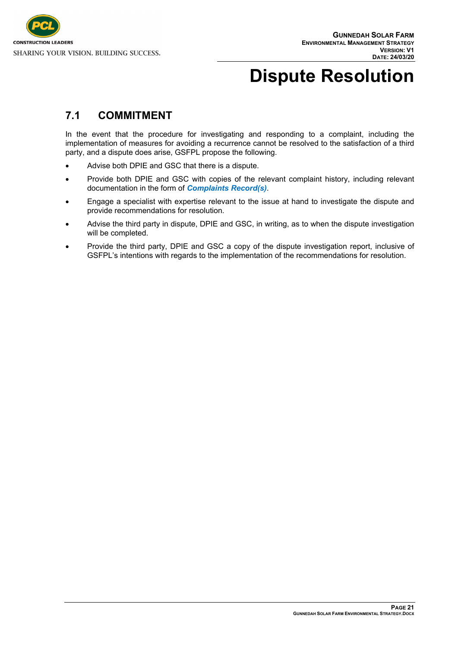

# <span id="page-25-0"></span>**Dispute Resolution**

### <span id="page-25-1"></span>**7.1 COMMITMENT**

In the event that the procedure for investigating and responding to a complaint, including the implementation of measures for avoiding a recurrence cannot be resolved to the satisfaction of a third party, and a dispute does arise, GSFPL propose the following.

- Advise both DPIE and GSC that there is a dispute.
- Provide both DPIE and GSC with copies of the relevant complaint history, including relevant documentation in the form of *Complaints Record(s)*.
- Engage a specialist with expertise relevant to the issue at hand to investigate the dispute and provide recommendations for resolution.
- Advise the third party in dispute, DPIE and GSC, in writing, as to when the dispute investigation will be completed.
- Provide the third party, DPIE and GSC a copy of the dispute investigation report, inclusive of GSFPL's intentions with regards to the implementation of the recommendations for resolution.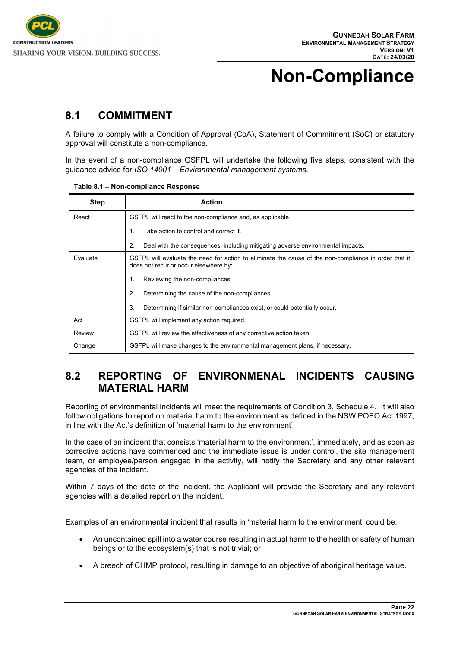

# <span id="page-26-0"></span>**Non-Compliance**

### <span id="page-26-1"></span>**8.1 COMMITMENT**

A failure to comply with a Condition of Approval (CoA), Statement of Commitment (SoC) or statutory approval will constitute a non-compliance.

In the event of a non-compliance GSFPL will undertake the following five steps, consistent with the guidance advice for *ISO 14001 – Environmental management systems*.

| <b>Step</b> | <b>Action</b>                                                                                                                                  |
|-------------|------------------------------------------------------------------------------------------------------------------------------------------------|
| React       | GSFPL will react to the non-compliance and, as applicable,                                                                                     |
|             | Take action to control and correct it.<br>1.                                                                                                   |
|             | Deal with the consequences, including mitigating adverse environmental impacts.<br>2.                                                          |
| Evaluate    | GSFPL will evaluate the need for action to eliminate the cause of the non-compliance in order that it<br>does not recur or occur elsewhere by: |
|             | Reviewing the non-compliances.<br>$\mathbf 1$                                                                                                  |
|             | 2.<br>Determining the cause of the non-compliances.                                                                                            |
|             | Determining if similar non-compliances exist, or could potentially occur.<br>3.                                                                |
| Act         | GSFPL will implement any action required.                                                                                                      |
| Review      | GSFPL will review the effectiveness of any corrective action taken.                                                                            |
| Change      | GSFPL will make changes to the environmental management plans, if necessary.                                                                   |

<span id="page-26-3"></span>**Table 8.1 – Non-compliance Response**

### <span id="page-26-2"></span>**8.2 REPORTING OF ENVIRONMENAL INCIDENTS CAUSING MATERIAL HARM**

Reporting of environmental incidents will meet the requirements of Condition 3, Schedule 4. It will also follow obligations to report on material harm to the environment as defined in the NSW POEO Act 1997, in line with the Act's definition of 'material harm to the environment'.

In the case of an incident that consists 'material harm to the environment', immediately, and as soon as corrective actions have commenced and the immediate issue is under control, the site management team, or employee/person engaged in the activity, will notify the Secretary and any other relevant agencies of the incident.

Within 7 days of the date of the incident, the Applicant will provide the Secretary and any relevant agencies with a detailed report on the incident.

Examples of an environmental incident that results in 'material harm to the environment' could be:

- An uncontained spill into a water course resulting in actual harm to the health or safety of human beings or to the ecosystem(s) that is not trivial; or
- A breech of CHMP protocol, resulting in damage to an objective of aboriginal heritage value.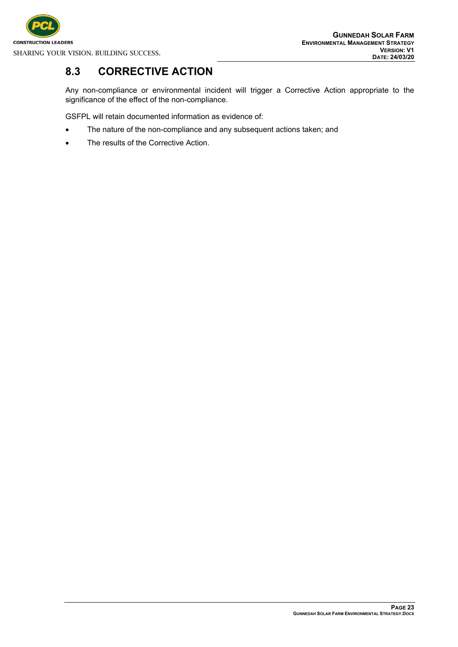

## <span id="page-27-0"></span>**8.3 CORRECTIVE ACTION**

Any non-compliance or environmental incident will trigger a Corrective Action appropriate to the significance of the effect of the non-compliance.

GSFPL will retain documented information as evidence of:

- The nature of the non-compliance and any subsequent actions taken; and
- The results of the Corrective Action.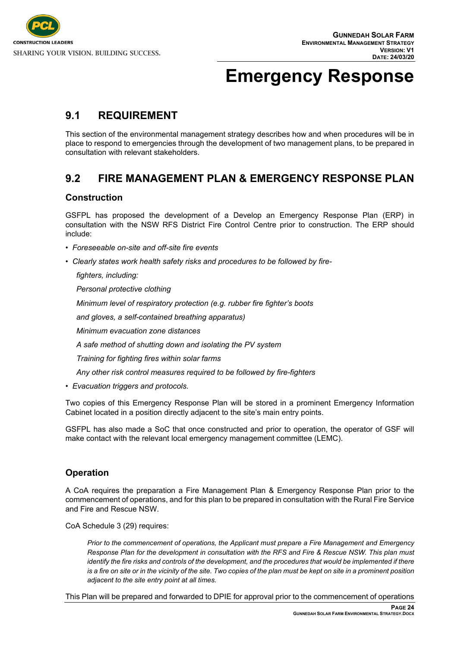

## <span id="page-28-0"></span>**Emergency Response**

#### <span id="page-28-1"></span>**9.1 REQUIREMENT**

This section of the environmental management strategy describes how and when procedures will be in place to respond to emergencies through the development of two management plans, to be prepared in consultation with relevant stakeholders.

#### <span id="page-28-2"></span>**9.2 FIRE MANAGEMENT PLAN & EMERGENCY RESPONSE PLAN**

#### **Construction**

GSFPL has proposed the development of a Develop an Emergency Response Plan (ERP) in consultation with the NSW RFS District Fire Control Centre prior to construction. The ERP should include:

- *Foreseeable on-site and off-site fire events*
- *Clearly states work health safety risks and procedures to be followed by fire-*

*fighters, including:*

*Personal protective clothing*

*Minimum level of respiratory protection (e.g. rubber fire fighter's boots*

*and gloves, a self-contained breathing apparatus)*

*Minimum evacuation zone distances*

*A safe method of shutting down and isolating the PV system*

*Training for fighting fires within solar farms*

*Any other risk control measures required to be followed by fire-fighters*

*• Evacuation triggers and protocols.*

Two copies of this Emergency Response Plan will be stored in a prominent Emergency Information Cabinet located in a position directly adjacent to the site's main entry points.

GSFPL has also made a SoC that once constructed and prior to operation, the operator of GSF will make contact with the relevant local emergency management committee (LEMC).

#### **Operation**

A CoA requires the preparation a Fire Management Plan & Emergency Response Plan prior to the commencement of operations, and for this plan to be prepared in consultation with the Rural Fire Service and Fire and Rescue NSW.

CoA Schedule 3 (29) requires:

*Prior to the commencement of operations, the Applicant must prepare a Fire Management and Emergency Response Plan for the development in consultation with the RFS and Fire & Rescue NSW. This plan must identify the fire risks and controls of the development, and the procedures that would be implemented if there is a fire on site or in the vicinity of the site. Two copies of the plan must be kept on site in a prominent position adjacent to the site entry point at all times.*

This Plan will be prepared and forwarded to DPIE for approval prior to the commencement of operations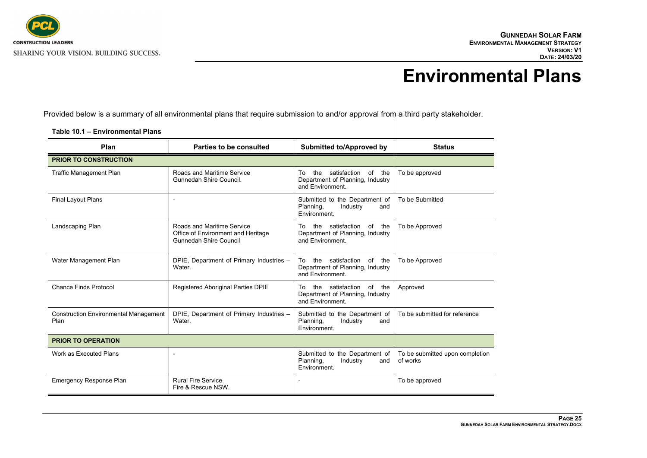

## <span id="page-29-0"></span>**Environmental Plans**

Provided below is a summary of all environmental plans that require submission to and/or approval from a third party stakeholder.

| Plan                                                 | Parties to be consulted                                                                    | <b>Submitted to/Approved by</b>                                                             | <b>Status</b>                               |
|------------------------------------------------------|--------------------------------------------------------------------------------------------|---------------------------------------------------------------------------------------------|---------------------------------------------|
| <b>PRIOR TO CONSTRUCTION</b>                         |                                                                                            |                                                                                             |                                             |
| <b>Traffic Management Plan</b>                       | Roads and Maritime Service<br>Gunnedah Shire Council.                                      | the satisfaction of the<br>To<br>Department of Planning, Industry<br>and Environment.       | To be approved                              |
| <b>Final Layout Plans</b>                            |                                                                                            | Submitted to the Department of<br>Planning,<br>Industry<br>and<br>Environment.              | To be Submitted                             |
| Landscaping Plan                                     | Roads and Maritime Service<br>Office of Environment and Heritage<br>Gunnedah Shire Council | the satisfaction<br>of<br>the<br>To<br>Department of Planning, Industry<br>and Fnvironment  | To be Approved                              |
| Water Management Plan                                | DPIE, Department of Primary Industries -<br>Water.                                         | satisfaction<br>of the<br>the<br>To<br>Department of Planning, Industry<br>and Environment. | To be Approved                              |
| Chance Finds Protocol                                | Registered Aboriginal Parties DPIE                                                         | the satisfaction<br>of<br>To<br>the<br>Department of Planning, Industry<br>and Environment. | Approved                                    |
| <b>Construction Environmental Management</b><br>Plan | DPIE, Department of Primary Industries -<br>Water.                                         | Submitted to the Department of<br>Planning,<br>Industry<br>and<br>Environment.              | To be submitted for reference               |
| <b>PRIOR TO OPERATION</b>                            |                                                                                            |                                                                                             |                                             |
| Work as Executed Plans                               |                                                                                            | Submitted to the Department of<br>Planning,<br>Industry<br>and<br>Environment.              | To be submitted upon completion<br>of works |
| <b>Emergency Response Plan</b>                       | <b>Rural Fire Service</b><br>Fire & Rescue NSW.                                            | $\blacksquare$                                                                              | To be approved                              |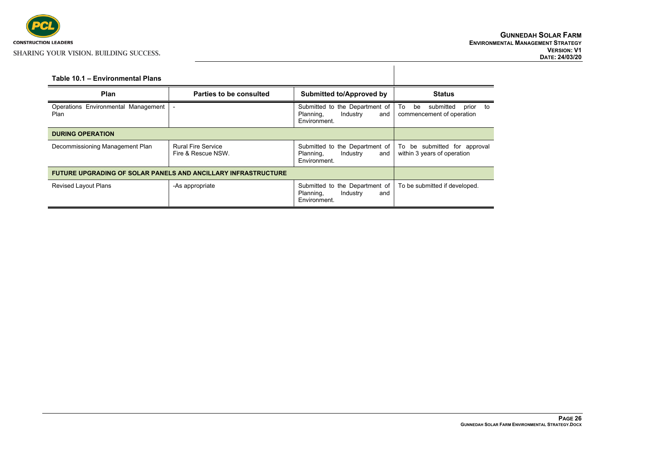

<span id="page-30-0"></span>

| Table 10.1 - Environmental Plans                              |                                                 |                                                                                |                                                                   |
|---------------------------------------------------------------|-------------------------------------------------|--------------------------------------------------------------------------------|-------------------------------------------------------------------|
| Plan                                                          | Parties to be consulted                         | <b>Submitted to/Approved by</b>                                                | <b>Status</b>                                                     |
| Operations Environmental Management<br>Plan                   | $\overline{a}$                                  | Submitted to the Department of<br>Industry<br>Planning,<br>and<br>Environment. | To<br>submitted<br>be<br>prior<br>to<br>commencement of operation |
| <b>DURING OPERATION</b>                                       |                                                 |                                                                                |                                                                   |
| Decommissioning Management Plan                               | <b>Rural Fire Service</b><br>Fire & Rescue NSW. | Submitted to the Department of<br>Industry<br>Planning,<br>and<br>Environment. | To be submitted for approval<br>within 3 years of operation       |
| FUTURE UPGRADING OF SOLAR PANELS AND ANCILLARY INFRASTRUCTURE |                                                 |                                                                                |                                                                   |
| <b>Revised Layout Plans</b>                                   | -As appropriate                                 | Submitted to the Department of<br>Industry<br>Planning,<br>and<br>Environment. | To be submitted if developed.                                     |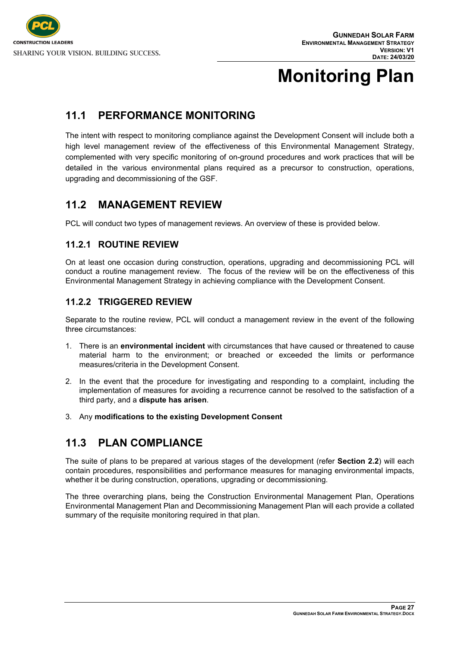

# <span id="page-31-0"></span>**Monitoring Plan**

### **11.1 PERFORMANCE MONITORING**

The intent with respect to monitoring compliance against the Development Consent will include both a high level management review of the effectiveness of this Environmental Management Strategy, complemented with very specific monitoring of on-ground procedures and work practices that will be detailed in the various environmental plans required as a precursor to construction, operations, upgrading and decommissioning of the GSF.

#### <span id="page-31-1"></span>**11.2 MANAGEMENT REVIEW**

<span id="page-31-2"></span>PCL will conduct two types of management reviews. An overview of these is provided below.

#### **11.2.1 ROUTINE REVIEW**

On at least one occasion during construction, operations, upgrading and decommissioning PCL will conduct a routine management review. The focus of the review will be on the effectiveness of this Environmental Management Strategy in achieving compliance with the Development Consent.

#### <span id="page-31-3"></span>**11.2.2 TRIGGERED REVIEW**

Separate to the routine review, PCL will conduct a management review in the event of the following three circumstances:

- 1. There is an **environmental incident** with circumstances that have caused or threatened to cause material harm to the environment; or breached or exceeded the limits or performance measures/criteria in the Development Consent.
- 2. In the event that the procedure for investigating and responding to a complaint, including the implementation of measures for avoiding a recurrence cannot be resolved to the satisfaction of a third party, and a **dispute has arisen**.
- <span id="page-31-4"></span>3. Any **modifications to the existing Development Consent**

### **11.3 PLAN COMPLIANCE**

The suite of plans to be prepared at various stages of the development (refer **Section 2.2**) will each contain procedures, responsibilities and performance measures for managing environmental impacts, whether it be during construction, operations, upgrading or decommissioning.

The three overarching plans, being the Construction Environmental Management Plan, Operations Environmental Management Plan and Decommissioning Management Plan will each provide a collated summary of the requisite monitoring required in that plan.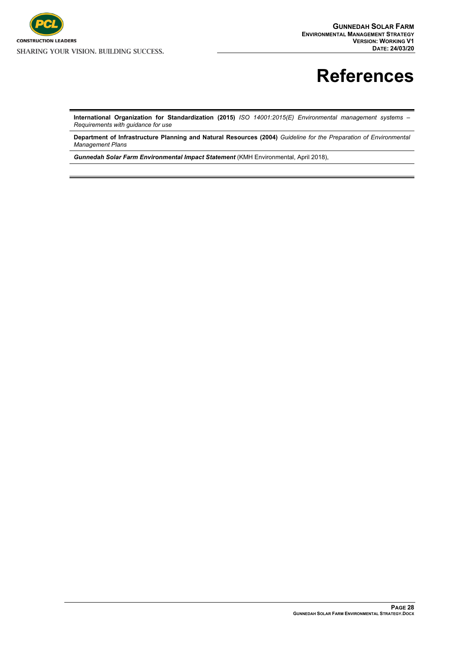

# <span id="page-32-0"></span>**References**

**International Organization for Standardization (2015)** *ISO 14001:2015(E) Environmental management systems – Requirements with guidance for use*

**Department of Infrastructure Planning and Natural Resources (2004)** *Guideline for the Preparation of Environmental Management Plans*

*Gunnedah Solar Farm Environmental Impact Statement* (KMH Environmental, April 2018),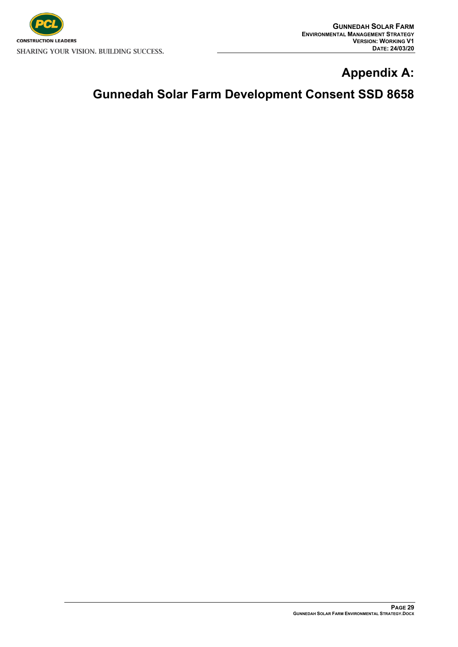

## **Appendix A:**

## **Gunnedah Solar Farm Development Consent SSD 8658**